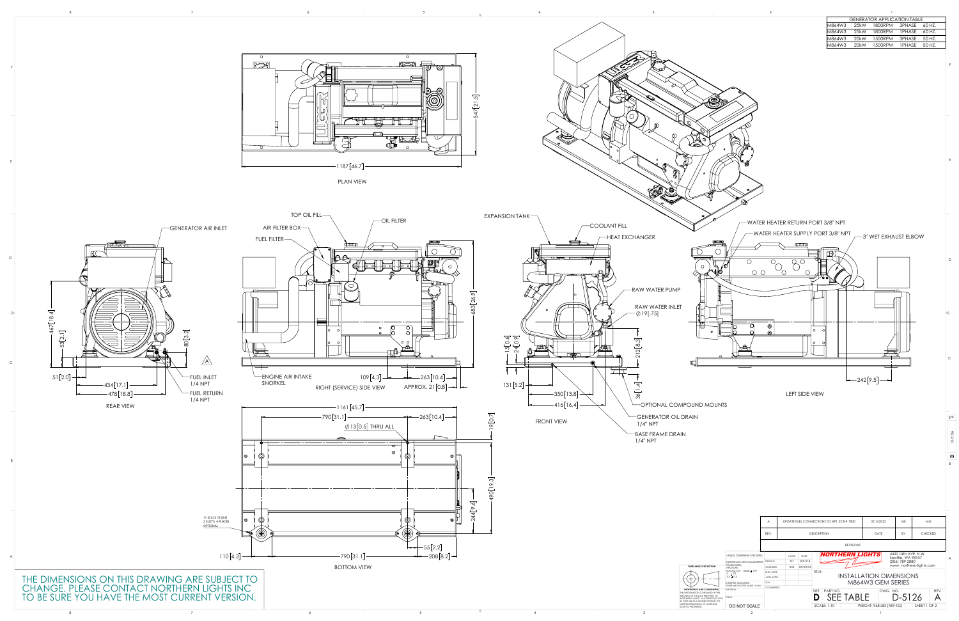





| <b>GENERATOR APPLICATION TABLE</b> |                   |         |               |         |  |  |  |  |  |
|------------------------------------|-------------------|---------|---------------|---------|--|--|--|--|--|
| M864W3                             | 25kW              | 1800RPM | 3PHASE        | -60 HZ. |  |  |  |  |  |
| M864W3                             | 25kW              | 1800RPM | <b>IPHASE</b> | 60 HZ.  |  |  |  |  |  |
| M864W3                             | 20 <sub>k</sub> W | 1500RPM | 3PHASE        | 50 HZ.  |  |  |  |  |  |
| M864W3<br>20 <sub>k</sub> W        |                   | 1500RPM | <b>IPHASE</b> | 50 HZ.  |  |  |  |  |  |
|                                    |                   |         |               |         |  |  |  |  |  |

B

 $\vert$  C

D



E

F



E

F



| $\frac{6}{4}$<br>11 [0.4] X 15 [0.6]<br>2 SLOTS, 4 PLACES<br>$\left( 0\right)$<br>$\sim$<br>′® ∣ዞ<br>UPDATE FUEL CONNECTIONS TO NPT, ECN# 7830<br>2/15/2022<br>MK<br>MG<br><b>OPTIONAL</b><br>$\circledcirc$<br>$\circledcirc$<br><b>DESCRIPTION</b><br><b>DATE</b><br><b>CHECKED</b><br>REV<br><b>REVISIONS</b><br>$\leftarrow$ 55[2.2]<br>4420 14th AVE. N.W.<br>Seattle, WA 98107<br>(206) 789-3880<br>www. northern-lights.com<br>$ -$ 208 $[8.2]$ $-$<br><b>NORTHERN LIGHTS</b><br>$110[4.3]$ —<br>$-790[31.1]$<br>NAME DATE<br>UNLESS OTHERWISE SPECIFIED:<br>╶┼ <del>╡╶┈┈┝</del> ┼┩<br>GT $8/27/18$<br>DIMENSIONS ARE IN MILLIMETERS DRAWN<br><b>TOLERANCES:</b><br><b>BOTTOM VIEW</b><br>XXX XX/XX/XX<br>THIRD ANGLE PROJECTION<br><b>CHECKED</b><br>ANGULAR:<br>$MACH± 0.5°$ BEND ± 1.0°<br>$ $ title:<br>ENG APPR.<br>$\overline{X}$ $\pm$ 0.5<br><b>INSTALLATION DIMENSIONS</b><br><b>Contract Contract Contract Contract</b><br>$\vert$ .XX $\pm$ 0.3<br>MFG APPR.<br>— — | $\Gamma$<br>$\sqrt{A}$<br>FUEL INLET<br>$1/4$ NPT<br>$-434[17.1]$ —<br>$-478[18.8]$<br>$-$ FUEL RETURN<br>$1/4$ NPT<br><b>REAR VIEW</b> | HDPT<br>▆<br>$\overline{C}$ ENGINE AIR INTAKE<br>SNORKEL<br>RIGHT (SERVICE) SIDE VIEW<br>$-1161[45.7]$<br>$-790[31.1]$<br>$\bigcirc$ 13 $[0.5]$ THRU ALL<br>—————<br>$\circledcirc$ | $4 - \sqrt{m}$<br>$5[0.6]$<br>24 $[0.9]$<br>$\overline{\phantom{0}}$<br>$\begin{picture}(10,10) \put(0,0){\line(1,0){10}} \put(10,0){\line(1,0){10}} \put(10,0){\line(1,0){10}} \put(10,0){\line(1,0){10}} \put(10,0){\line(1,0){10}} \put(10,0){\line(1,0){10}} \put(10,0){\line(1,0){10}} \put(10,0){\line(1,0){10}} \put(10,0){\line(1,0){10}} \put(10,0){\line(1,0){10}} \put(10,0){\line(1,0){10}} \put(10,0){\line(1$<br>$109[4.3]$ $\rightarrow$ $\rightarrow$ 263[10.4] $\rightarrow$  <br>$APPROX. 21[0.8] \rightarrow$<br>$\rightarrow$ -263[10.4] $\rightarrow$<br>$\Box$<br>$\overline{\mathcal{E}}$<br>$\overline{\circ}$<br>$\overline{\mathbf{e}}$ | $\overline{\phantom{a}}$<br>$\overline{\phantom{a}}$<br>$131[5.2]$ $\leftarrow$<br>$-350[13.8] \rightarrow$<br>$-416[16.4]$<br><b>FRONT VIEW</b> | -RAW WATER PUMP<br>RAW WATER INLET<br>$\sim$ 19[.75]<br>OPTIONAL COMPOUND MOUNTS<br>GENERATOR OIL DRAIN<br>$1/4"$ NPT<br>$-$ BASE FRAME DRAIN<br>$1/4"$ NPT | $\Box$<br>$O$ $O$<br>$\left  -242[9.5] \right $<br>LEFT SIDE VIEW |  |
|---------------------------------------------------------------------------------------------------------------------------------------------------------------------------------------------------------------------------------------------------------------------------------------------------------------------------------------------------------------------------------------------------------------------------------------------------------------------------------------------------------------------------------------------------------------------------------------------------------------------------------------------------------------------------------------------------------------------------------------------------------------------------------------------------------------------------------------------------------------------------------------------------------------------------------------------------------------------------------------|-----------------------------------------------------------------------------------------------------------------------------------------|-------------------------------------------------------------------------------------------------------------------------------------------------------------------------------------|-------------------------------------------------------------------------------------------------------------------------------------------------------------------------------------------------------------------------------------------------------------------------------------------------------------------------------------------------------------------------------------------------------------------------------------------------------------------------------------------------------------------------------------------------------------------------------------------------------------------------------------------------------------------|--------------------------------------------------------------------------------------------------------------------------------------------------|-------------------------------------------------------------------------------------------------------------------------------------------------------------|-------------------------------------------------------------------|--|
|                                                                                                                                                                                                                                                                                                                                                                                                                                                                                                                                                                                                                                                                                                                                                                                                                                                                                                                                                                                       |                                                                                                                                         |                                                                                                                                                                                     |                                                                                                                                                                                                                                                                                                                                                                                                                                                                                                                                                                                                                                                                   |                                                                                                                                                  |                                                                                                                                                             |                                                                   |  |
|                                                                                                                                                                                                                                                                                                                                                                                                                                                                                                                                                                                                                                                                                                                                                                                                                                                                                                                                                                                       |                                                                                                                                         |                                                                                                                                                                                     |                                                                                                                                                                                                                                                                                                                                                                                                                                                                                                                                                                                                                                                                   |                                                                                                                                                  |                                                                                                                                                             |                                                                   |  |
| Q.A.<br>INTERPRET GEOMETRIC<br>TOLERANCING PER: ASME Y14.5M<br>PLEASE CONTACT NORTHERN LIGHTS INC<br>COMMENTS:<br>MATERIAL<br>PROPRIETARY AND CONFIDENTIAL<br>SIZE PART NO.<br>D SEE TABLE<br>DWG. NO.<br>REV<br>THE INFORMATION CONTAINED IN THIS<br>D-5126<br>EYOU HAVE THE MOST CURRENT VERSION.<br>$\mathsf{A}$<br>DRAWING IS THE SOLE PROPERTY OF<br>NORTHERN LIGHTS. ANY REPRODUCTION<br>IN PART OR AS A WHOLE WITHOUT THE<br>WRITTEN PERMISSION OF NORTHERN<br>$\vert$ SCALE: 1:10<br>WEIGHT: 968 LBS [439 KG] $\mid$<br>SHEET 1 OF 2                                                                                                                                                                                                                                                                                                                                                                                                                                          | SIONS ON THIS DRAWING ARE SUBJECT TO                                                                                                    |                                                                                                                                                                                     |                                                                                                                                                                                                                                                                                                                                                                                                                                                                                                                                                                                                                                                                   |                                                                                                                                                  |                                                                                                                                                             | M864W3 GEM SERIES                                                 |  |
| DO NOT SCALE<br>LIGHTS IS PROHIBITED.<br>the contract of the con-<br>the contract of the con-<br>and the property of                                                                                                                                                                                                                                                                                                                                                                                                                                                                                                                                                                                                                                                                                                                                                                                                                                                                  |                                                                                                                                         |                                                                                                                                                                                     |                                                                                                                                                                                                                                                                                                                                                                                                                                                                                                                                                                                                                                                                   |                                                                                                                                                  |                                                                                                                                                             |                                                                   |  |

 $-$  WATER HEATER SUPPLY PORT 3/8" NPT  $\overline{\phantom{134}}$  , wet exhaust elbow

 $\sqrt{\phantom{a}}$ WATER HEATER RETURN PORT 3/8" NPT

بسسبب

 $\mathbf{D}$   $\mathbf{A}$   $\mathbf{D}$